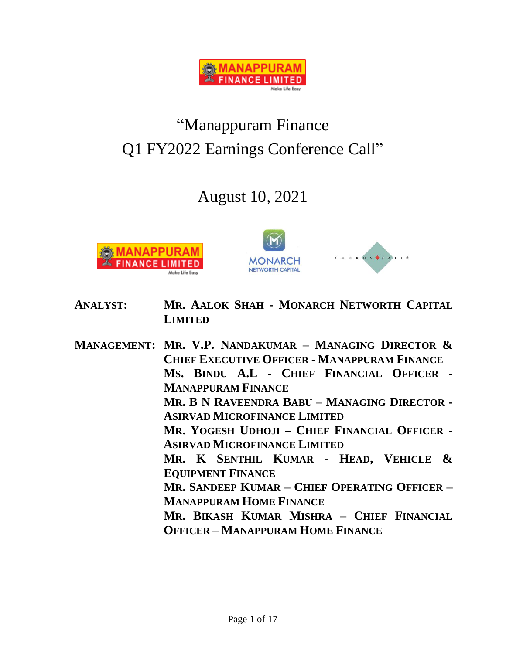

# "Manappuram Finance Q1 FY2022 Earnings Conference Call"

## August 10, 2021





- **ANALYST: MR. AALOK SHAH - MONARCH NETWORTH CAPITAL LIMITED**
- **MANAGEMENT: MR. V.P. NANDAKUMAR – MANAGING DIRECTOR & CHIEF EXECUTIVE OFFICER - MANAPPURAM FINANCE MS. BINDU A.L - CHIEF FINANCIAL OFFICER - MANAPPURAM FINANCE MR. B N RAVEENDRA BABU – MANAGING DIRECTOR - ASIRVAD MICROFINANCE LIMITED MR. YOGESH UDHOJI – CHIEF FINANCIAL OFFICER - ASIRVAD MICROFINANCE LIMITED MR. K SENTHIL KUMAR - HEAD, VEHICLE & EQUIPMENT FINANCE MR. SANDEEP KUMAR – CHIEF OPERATING OFFICER – MANAPPURAM HOME FINANCE MR. BIKASH KUMAR MISHRA – CHIEF FINANCIAL OFFICER – MANAPPURAM HOME FINANCE**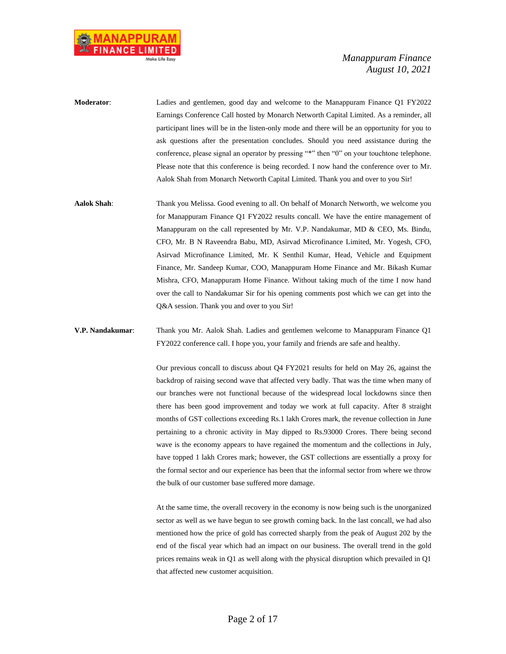

**Moderator**: Ladies and gentlemen, good day and welcome to the Manappuram Finance Q1 FY2022 Earnings Conference Call hosted by Monarch Networth Capital Limited. As a reminder, all participant lines will be in the listen-only mode and there will be an opportunity for you to ask questions after the presentation concludes. Should you need assistance during the conference, please signal an operator by pressing "\*" then "0" on your touchtone telephone. Please note that this conference is being recorded. I now hand the conference over to Mr. Aalok Shah from Monarch Networth Capital Limited. Thank you and over to you Sir!

**Aalok Shah**: Thank you Melissa. Good evening to all. On behalf of Monarch Networth, we welcome you for Manappuram Finance Q1 FY2022 results concall. We have the entire management of Manappuram on the call represented by Mr. V.P. Nandakumar, MD & CEO, Ms. Bindu, CFO, Mr. B N Raveendra Babu, MD, Asirvad Microfinance Limited, Mr. Yogesh, CFO, Asirvad Microfinance Limited, Mr. K Senthil Kumar, Head, Vehicle and Equipment Finance, Mr. Sandeep Kumar, COO, Manappuram Home Finance and Mr. Bikash Kumar Mishra, CFO, Manappuram Home Finance. Without taking much of the time I now hand over the call to Nandakumar Sir for his opening comments post which we can get into the Q&A session. Thank you and over to you Sir!

**V.P. Nandakumar**: Thank you Mr. Aalok Shah. Ladies and gentlemen welcome to Manappuram Finance Q1 FY2022 conference call. I hope you, your family and friends are safe and healthy.

> Our previous concall to discuss about Q4 FY2021 results for held on May 26, against the backdrop of raising second wave that affected very badly. That was the time when many of our branches were not functional because of the widespread local lockdowns since then there has been good improvement and today we work at full capacity. After 8 straight months of GST collections exceeding Rs.1 lakh Crores mark, the revenue collection in June pertaining to a chronic activity in May dipped to Rs.93000 Crores. There being second wave is the economy appears to have regained the momentum and the collections in July, have topped 1 lakh Crores mark; however, the GST collections are essentially a proxy for the formal sector and our experience has been that the informal sector from where we throw the bulk of our customer base suffered more damage.

> At the same time, the overall recovery in the economy is now being such is the unorganized sector as well as we have begun to see growth coming back. In the last concall, we had also mentioned how the price of gold has corrected sharply from the peak of August 202 by the end of the fiscal year which had an impact on our business. The overall trend in the gold prices remains weak in Q1 as well along with the physical disruption which prevailed in Q1 that affected new customer acquisition.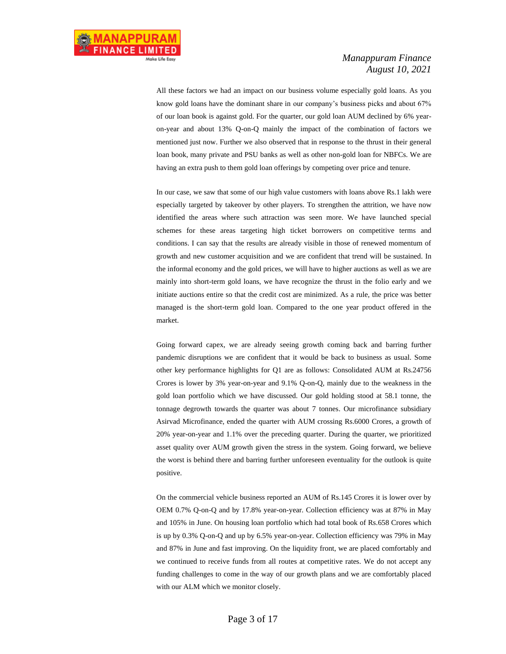All these factors we had an impact on our business volume especially gold loans. As you know gold loans have the dominant share in our company's business picks and about 67% of our loan book is against gold. For the quarter, our gold loan AUM declined by 6% yearon-year and about 13% Q-on-Q mainly the impact of the combination of factors we mentioned just now. Further we also observed that in response to the thrust in their general loan book, many private and PSU banks as well as other non-gold loan for NBFCs. We are having an extra push to them gold loan offerings by competing over price and tenure.

In our case, we saw that some of our high value customers with loans above Rs.1 lakh were especially targeted by takeover by other players. To strengthen the attrition, we have now identified the areas where such attraction was seen more. We have launched special schemes for these areas targeting high ticket borrowers on competitive terms and conditions. I can say that the results are already visible in those of renewed momentum of growth and new customer acquisition and we are confident that trend will be sustained. In the informal economy and the gold prices, we will have to higher auctions as well as we are mainly into short-term gold loans, we have recognize the thrust in the folio early and we initiate auctions entire so that the credit cost are minimized. As a rule, the price was better managed is the short-term gold loan. Compared to the one year product offered in the market.

Going forward capex, we are already seeing growth coming back and barring further pandemic disruptions we are confident that it would be back to business as usual. Some other key performance highlights for Q1 are as follows: Consolidated AUM at Rs.24756 Crores is lower by 3% year-on-year and 9.1% Q-on-Q, mainly due to the weakness in the gold loan portfolio which we have discussed. Our gold holding stood at 58.1 tonne, the tonnage degrowth towards the quarter was about 7 tonnes. Our microfinance subsidiary Asirvad Microfinance, ended the quarter with AUM crossing Rs.6000 Crores, a growth of 20% year-on-year and 1.1% over the preceding quarter. During the quarter, we prioritized asset quality over AUM growth given the stress in the system. Going forward, we believe the worst is behind there and barring further unforeseen eventuality for the outlook is quite positive.

On the commercial vehicle business reported an AUM of Rs.145 Crores it is lower over by OEM 0.7% Q-on-Q and by 17.8% year-on-year. Collection efficiency was at 87% in May and 105% in June. On housing loan portfolio which had total book of Rs.658 Crores which is up by 0.3% Q-on-Q and up by 6.5% year-on-year. Collection efficiency was 79% in May and 87% in June and fast improving. On the liquidity front, we are placed comfortably and we continued to receive funds from all routes at competitive rates. We do not accept any funding challenges to come in the way of our growth plans and we are comfortably placed with our ALM which we monitor closely.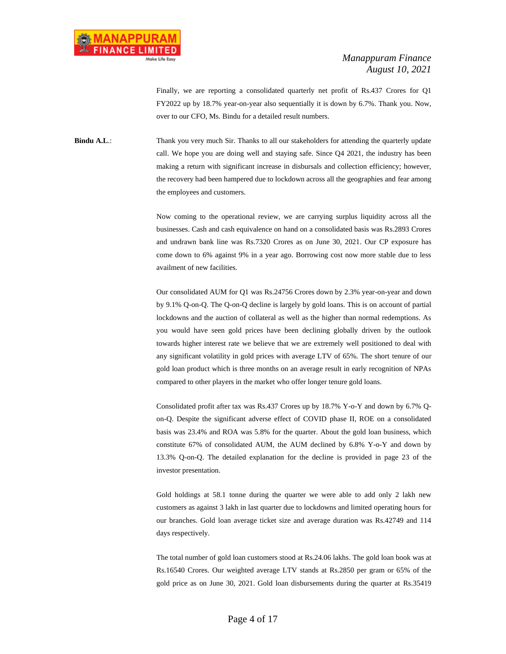Finally, we are reporting a consolidated quarterly net profit of Rs.437 Crores for Q1 FY2022 up by 18.7% year-on-year also sequentially it is down by 6.7%. Thank you. Now, over to our CFO, Ms. Bindu for a detailed result numbers.

**Bindu A.L.:** Thank you very much Sir. Thanks to all our stakeholders for attending the quarterly update call. We hope you are doing well and staying safe. Since Q4 2021, the industry has been making a return with significant increase in disbursals and collection efficiency; however, the recovery had been hampered due to lockdown across all the geographies and fear among the employees and customers.

> Now coming to the operational review, we are carrying surplus liquidity across all the businesses. Cash and cash equivalence on hand on a consolidated basis was Rs.2893 Crores and undrawn bank line was Rs.7320 Crores as on June 30, 2021. Our CP exposure has come down to 6% against 9% in a year ago. Borrowing cost now more stable due to less availment of new facilities.

> Our consolidated AUM for Q1 was Rs.24756 Crores down by 2.3% year-on-year and down by 9.1% Q-on-Q. The Q-on-Q decline is largely by gold loans. This is on account of partial lockdowns and the auction of collateral as well as the higher than normal redemptions. As you would have seen gold prices have been declining globally driven by the outlook towards higher interest rate we believe that we are extremely well positioned to deal with any significant volatility in gold prices with average LTV of 65%. The short tenure of our gold loan product which is three months on an average result in early recognition of NPAs compared to other players in the market who offer longer tenure gold loans.

> Consolidated profit after tax was Rs.437 Crores up by 18.7% Y-o-Y and down by 6.7% Qon-Q. Despite the significant adverse effect of COVID phase II, ROE on a consolidated basis was 23.4% and ROA was 5.8% for the quarter. About the gold loan business, which constitute 67% of consolidated AUM, the AUM declined by 6.8% Y-o-Y and down by 13.3% Q-on-Q. The detailed explanation for the decline is provided in page 23 of the investor presentation.

> Gold holdings at 58.1 tonne during the quarter we were able to add only 2 lakh new customers as against 3 lakh in last quarter due to lockdowns and limited operating hours for our branches. Gold loan average ticket size and average duration was Rs.42749 and 114 days respectively.

> The total number of gold loan customers stood at Rs.24.06 lakhs. The gold loan book was at Rs.16540 Crores. Our weighted average LTV stands at Rs.2850 per gram or 65% of the gold price as on June 30, 2021. Gold loan disbursements during the quarter at Rs.35419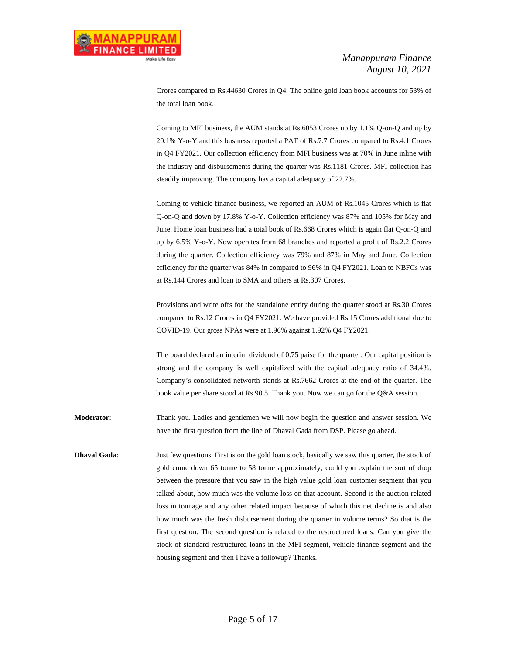Crores compared to Rs.44630 Crores in Q4. The online gold loan book accounts for 53% of the total loan book.

Coming to MFI business, the AUM stands at Rs.6053 Crores up by 1.1% Q-on-Q and up by 20.1% Y-o-Y and this business reported a PAT of Rs.7.7 Crores compared to Rs.4.1 Crores in Q4 FY2021. Our collection efficiency from MFI business was at 70% in June inline with the industry and disbursements during the quarter was Rs.1181 Crores. MFI collection has steadily improving. The company has a capital adequacy of 22.7%.

Coming to vehicle finance business, we reported an AUM of Rs.1045 Crores which is flat Q-on-Q and down by 17.8% Y-o-Y. Collection efficiency was 87% and 105% for May and June. Home loan business had a total book of Rs.668 Crores which is again flat Q-on-Q and up by 6.5% Y-o-Y. Now operates from 68 branches and reported a profit of Rs.2.2 Crores during the quarter. Collection efficiency was 79% and 87% in May and June. Collection efficiency for the quarter was 84% in compared to 96% in Q4 FY2021. Loan to NBFCs was at Rs.144 Crores and loan to SMA and others at Rs.307 Crores.

Provisions and write offs for the standalone entity during the quarter stood at Rs.30 Crores compared to Rs.12 Crores in Q4 FY2021. We have provided Rs.15 Crores additional due to COVID-19. Our gross NPAs were at 1.96% against 1.92% Q4 FY2021.

The board declared an interim dividend of 0.75 paise for the quarter. Our capital position is strong and the company is well capitalized with the capital adequacy ratio of 34.4%. Company's consolidated networth stands at Rs.7662 Crores at the end of the quarter. The book value per share stood at Rs.90.5. Thank you. Now we can go for the Q&A session.

**Moderator**: Thank you. Ladies and gentlemen we will now begin the question and answer session. We have the first question from the line of Dhaval Gada from DSP. Please go ahead.

**Dhaval Gada:** Just few questions. First is on the gold loan stock, basically we saw this quarter, the stock of gold come down 65 tonne to 58 tonne approximately, could you explain the sort of drop between the pressure that you saw in the high value gold loan customer segment that you talked about, how much was the volume loss on that account. Second is the auction related loss in tonnage and any other related impact because of which this net decline is and also how much was the fresh disbursement during the quarter in volume terms? So that is the first question. The second question is related to the restructured loans. Can you give the stock of standard restructured loans in the MFI segment, vehicle finance segment and the housing segment and then I have a followup? Thanks.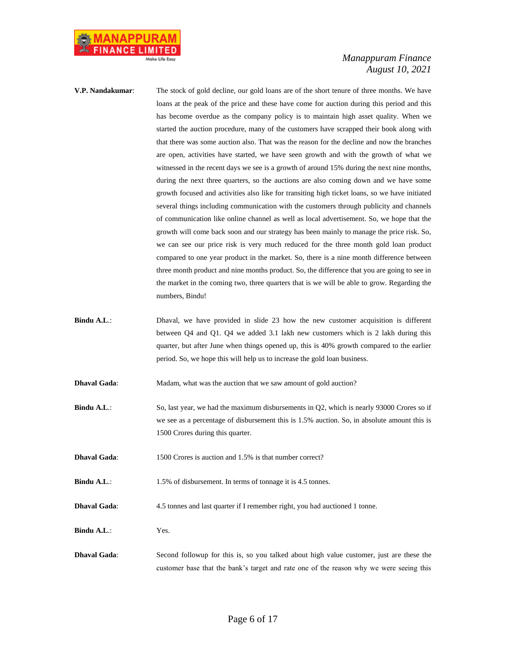

- **V.P. Nandakumar**: The stock of gold decline, our gold loans are of the short tenure of three months. We have loans at the peak of the price and these have come for auction during this period and this has become overdue as the company policy is to maintain high asset quality. When we started the auction procedure, many of the customers have scrapped their book along with that there was some auction also. That was the reason for the decline and now the branches are open, activities have started, we have seen growth and with the growth of what we witnessed in the recent days we see is a growth of around 15% during the next nine months, during the next three quarters, so the auctions are also coming down and we have some growth focused and activities also like for transiting high ticket loans, so we have initiated several things including communication with the customers through publicity and channels of communication like online channel as well as local advertisement. So, we hope that the growth will come back soon and our strategy has been mainly to manage the price risk. So, we can see our price risk is very much reduced for the three month gold loan product compared to one year product in the market. So, there is a nine month difference between three month product and nine months product. So, the difference that you are going to see in the market in the coming two, three quarters that is we will be able to grow. Regarding the numbers, Bindu!
- **Bindu A.L.:** Dhaval, we have provided in slide 23 how the new customer acquisition is different between Q4 and Q1. Q4 we added 3.1 lakh new customers which is 2 lakh during this quarter, but after June when things opened up, this is 40% growth compared to the earlier period. So, we hope this will help us to increase the gold loan business.
- **Dhaval Gada:** Madam, what was the auction that we saw amount of gold auction?
- **Bindu A.L.:** So, last year, we had the maximum disbursements in Q2, which is nearly 93000 Crores so if we see as a percentage of disbursement this is 1.5% auction. So, in absolute amount this is 1500 Crores during this quarter.
- **Dhaval Gada:** 1500 Crores is auction and 1.5% is that number correct?
- **Bindu A.L.:** 1.5% of disbursement. In terms of tonnage it is 4.5 tonnes.
- **Dhaval Gada:** 4.5 tonnes and last quarter if I remember right, you had auctioned 1 tonne.
- **Bindu A.L**.: Yes.
- **Dhaval Gada**: Second followup for this is, so you talked about high value customer, just are these the customer base that the bank's target and rate one of the reason why we were seeing this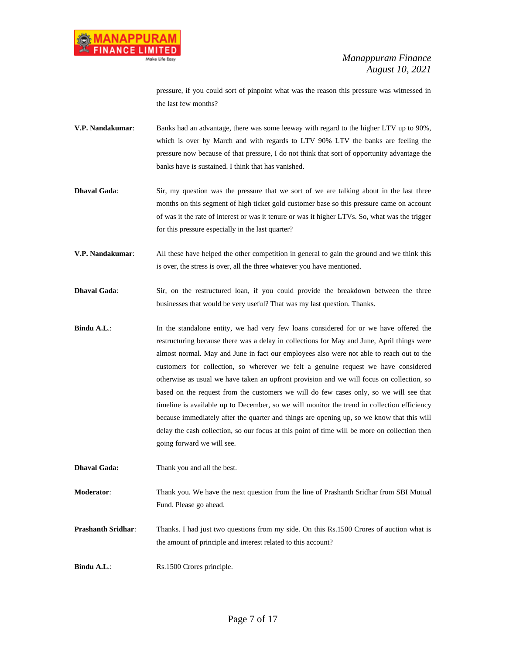

pressure, if you could sort of pinpoint what was the reason this pressure was witnessed in the last few months?

- **V.P. Nandakumar**: Banks had an advantage, there was some leeway with regard to the higher LTV up to 90%, which is over by March and with regards to LTV 90% LTV the banks are feeling the pressure now because of that pressure, I do not think that sort of opportunity advantage the banks have is sustained. I think that has vanished.
- **Dhaval Gada:** Sir, my question was the pressure that we sort of we are talking about in the last three months on this segment of high ticket gold customer base so this pressure came on account of was it the rate of interest or was it tenure or was it higher LTVs. So, what was the trigger for this pressure especially in the last quarter?
- **V.P. Nandakumar**: All these have helped the other competition in general to gain the ground and we think this is over, the stress is over, all the three whatever you have mentioned.
- **Dhaval Gada**: Sir, on the restructured loan, if you could provide the breakdown between the three businesses that would be very useful? That was my last question. Thanks.
- **Bindu A.L.:** In the standalone entity, we had very few loans considered for or we have offered the restructuring because there was a delay in collections for May and June, April things were almost normal. May and June in fact our employees also were not able to reach out to the customers for collection, so wherever we felt a genuine request we have considered otherwise as usual we have taken an upfront provision and we will focus on collection, so based on the request from the customers we will do few cases only, so we will see that timeline is available up to December, so we will monitor the trend in collection efficiency because immediately after the quarter and things are opening up, so we know that this will delay the cash collection, so our focus at this point of time will be more on collection then going forward we will see.
- **Dhaval Gada:** Thank you and all the best.
- **Moderator**: Thank you. We have the next question from the line of Prashanth Sridhar from SBI Mutual Fund. Please go ahead.
- **Prashanth Sridhar:** Thanks. I had just two questions from my side. On this Rs.1500 Crores of auction what is the amount of principle and interest related to this account?
- **Bindu A.L.:** Rs.1500 Crores principle.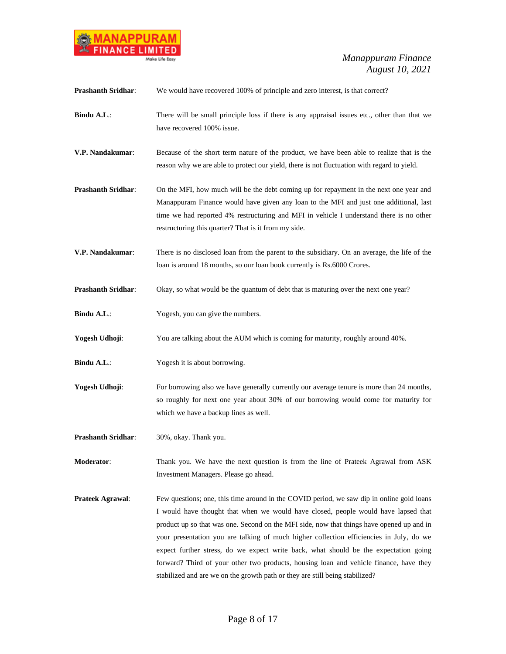

| <b>Prashanth Sridhar:</b> | We would have recovered 100% of principle and zero interest, is that correct?                                                                                                                                                                                                                                                                                                                                                                                                                                                                                                                                                             |
|---------------------------|-------------------------------------------------------------------------------------------------------------------------------------------------------------------------------------------------------------------------------------------------------------------------------------------------------------------------------------------------------------------------------------------------------------------------------------------------------------------------------------------------------------------------------------------------------------------------------------------------------------------------------------------|
| Bindu A.L.:               | There will be small principle loss if there is any appraisal issues etc., other than that we<br>have recovered 100% issue.                                                                                                                                                                                                                                                                                                                                                                                                                                                                                                                |
| V.P. Nandakumar:          | Because of the short term nature of the product, we have been able to realize that is the<br>reason why we are able to protect our yield, there is not fluctuation with regard to yield.                                                                                                                                                                                                                                                                                                                                                                                                                                                  |
| <b>Prashanth Sridhar:</b> | On the MFI, how much will be the debt coming up for repayment in the next one year and<br>Manappuram Finance would have given any loan to the MFI and just one additional, last<br>time we had reported 4% restructuring and MFI in vehicle I understand there is no other<br>restructuring this quarter? That is it from my side.                                                                                                                                                                                                                                                                                                        |
| V.P. Nandakumar:          | There is no disclosed loan from the parent to the subsidiary. On an average, the life of the<br>loan is around 18 months, so our loan book currently is Rs.6000 Crores.                                                                                                                                                                                                                                                                                                                                                                                                                                                                   |
| <b>Prashanth Sridhar:</b> | Okay, so what would be the quantum of debt that is maturing over the next one year?                                                                                                                                                                                                                                                                                                                                                                                                                                                                                                                                                       |
| Bindu A.L.:               | Yogesh, you can give the numbers.                                                                                                                                                                                                                                                                                                                                                                                                                                                                                                                                                                                                         |
| Yogesh Udhoji:            | You are talking about the AUM which is coming for maturity, roughly around 40%.                                                                                                                                                                                                                                                                                                                                                                                                                                                                                                                                                           |
| Bindu A.L.:               | Yogesh it is about borrowing.                                                                                                                                                                                                                                                                                                                                                                                                                                                                                                                                                                                                             |
| Yogesh Udhoji:            | For borrowing also we have generally currently our average tenure is more than 24 months,<br>so roughly for next one year about 30% of our borrowing would come for maturity for<br>which we have a backup lines as well.                                                                                                                                                                                                                                                                                                                                                                                                                 |
| <b>Prashanth Sridhar:</b> | 30%, okay. Thank you.                                                                                                                                                                                                                                                                                                                                                                                                                                                                                                                                                                                                                     |
| Moderator:                | Thank you. We have the next question is from the line of Prateek Agrawal from ASK<br>Investment Managers. Please go ahead.                                                                                                                                                                                                                                                                                                                                                                                                                                                                                                                |
| Prateek Agrawal:          | Few questions; one, this time around in the COVID period, we saw dip in online gold loans<br>I would have thought that when we would have closed, people would have lapsed that<br>product up so that was one. Second on the MFI side, now that things have opened up and in<br>your presentation you are talking of much higher collection efficiencies in July, do we<br>expect further stress, do we expect write back, what should be the expectation going<br>forward? Third of your other two products, housing loan and vehicle finance, have they<br>stabilized and are we on the growth path or they are still being stabilized? |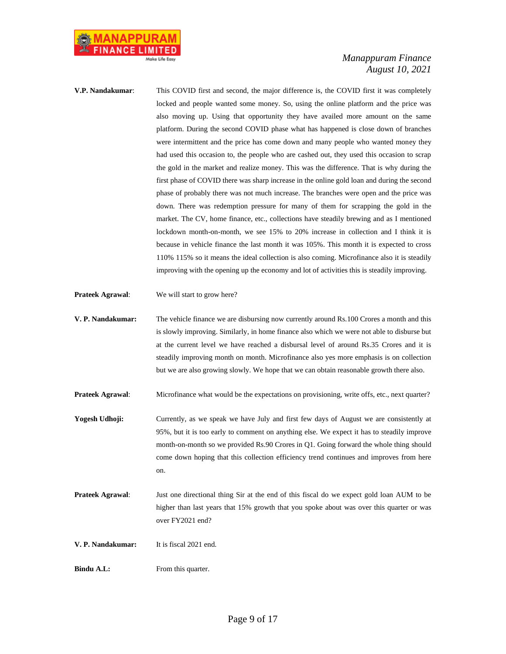

- **V.P. Nandakumar**: This COVID first and second, the major difference is, the COVID first it was completely locked and people wanted some money. So, using the online platform and the price was also moving up. Using that opportunity they have availed more amount on the same platform. During the second COVID phase what has happened is close down of branches were intermittent and the price has come down and many people who wanted money they had used this occasion to, the people who are cashed out, they used this occasion to scrap the gold in the market and realize money. This was the difference. That is why during the first phase of COVID there was sharp increase in the online gold loan and during the second phase of probably there was not much increase. The branches were open and the price was down. There was redemption pressure for many of them for scrapping the gold in the market. The CV, home finance, etc., collections have steadily brewing and as I mentioned lockdown month-on-month, we see 15% to 20% increase in collection and I think it is because in vehicle finance the last month it was 105%. This month it is expected to cross 110% 115% so it means the ideal collection is also coming. Microfinance also it is steadily improving with the opening up the economy and lot of activities this is steadily improving.
- **Prateek Agrawal**: We will start to grow here?
- **V. P. Nandakumar:** The vehicle finance we are disbursing now currently around Rs.100 Crores a month and this is slowly improving. Similarly, in home finance also which we were not able to disburse but at the current level we have reached a disbursal level of around Rs.35 Crores and it is steadily improving month on month. Microfinance also yes more emphasis is on collection but we are also growing slowly. We hope that we can obtain reasonable growth there also.
- **Prateek Agrawal:** Microfinance what would be the expectations on provisioning, write offs, etc., next quarter?
- **Yogesh Udhoji:** Currently, as we speak we have July and first few days of August we are consistently at 95%, but it is too early to comment on anything else. We expect it has to steadily improve month-on-month so we provided Rs.90 Crores in Q1. Going forward the whole thing should come down hoping that this collection efficiency trend continues and improves from here on.
- **Prateek Agrawal**: Just one directional thing Sir at the end of this fiscal do we expect gold loan AUM to be higher than last years that 15% growth that you spoke about was over this quarter or was over FY2021 end?

**V. P. Nandakumar:** It is fiscal 2021 end.

**Bindu A.L:** From this quarter.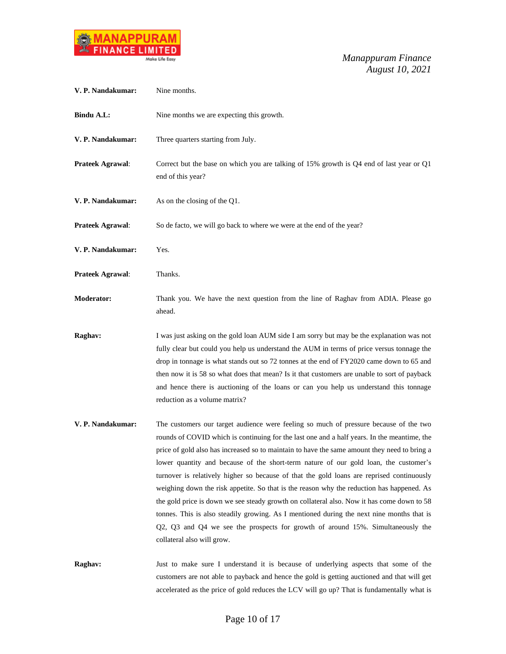

| V. P. Nandakumar: | Nine months.                                                                                                                                                                                                                                                                                                                                                                                                                                                                                                                                                                                                                                                                                                                                                                                                                                                                       |
|-------------------|------------------------------------------------------------------------------------------------------------------------------------------------------------------------------------------------------------------------------------------------------------------------------------------------------------------------------------------------------------------------------------------------------------------------------------------------------------------------------------------------------------------------------------------------------------------------------------------------------------------------------------------------------------------------------------------------------------------------------------------------------------------------------------------------------------------------------------------------------------------------------------|
| <b>Bindu A.L:</b> | Nine months we are expecting this growth.                                                                                                                                                                                                                                                                                                                                                                                                                                                                                                                                                                                                                                                                                                                                                                                                                                          |
| V. P. Nandakumar: | Three quarters starting from July.                                                                                                                                                                                                                                                                                                                                                                                                                                                                                                                                                                                                                                                                                                                                                                                                                                                 |
| Prateek Agrawal:  | Correct but the base on which you are talking of 15% growth is Q4 end of last year or Q1<br>end of this year?                                                                                                                                                                                                                                                                                                                                                                                                                                                                                                                                                                                                                                                                                                                                                                      |
| V. P. Nandakumar: | As on the closing of the Q1.                                                                                                                                                                                                                                                                                                                                                                                                                                                                                                                                                                                                                                                                                                                                                                                                                                                       |
| Prateek Agrawal:  | So de facto, we will go back to where we were at the end of the year?                                                                                                                                                                                                                                                                                                                                                                                                                                                                                                                                                                                                                                                                                                                                                                                                              |
| V. P. Nandakumar: | Yes.                                                                                                                                                                                                                                                                                                                                                                                                                                                                                                                                                                                                                                                                                                                                                                                                                                                                               |
| Prateek Agrawal:  | Thanks.                                                                                                                                                                                                                                                                                                                                                                                                                                                                                                                                                                                                                                                                                                                                                                                                                                                                            |
| <b>Moderator:</b> | Thank you. We have the next question from the line of Raghav from ADIA. Please go<br>ahead.                                                                                                                                                                                                                                                                                                                                                                                                                                                                                                                                                                                                                                                                                                                                                                                        |
| Raghav:           | I was just asking on the gold loan AUM side I am sorry but may be the explanation was not<br>fully clear but could you help us understand the AUM in terms of price versus tonnage the<br>drop in tonnage is what stands out so 72 tonnes at the end of FY2020 came down to 65 and<br>then now it is 58 so what does that mean? Is it that customers are unable to sort of payback<br>and hence there is auctioning of the loans or can you help us understand this tonnage<br>reduction as a volume matrix?                                                                                                                                                                                                                                                                                                                                                                       |
| V. P. Nandakumar: | The customers our target audience were feeling so much of pressure because of the two<br>rounds of COVID which is continuing for the last one and a half years. In the meantime, the<br>price of gold also has increased so to maintain to have the same amount they need to bring a<br>lower quantity and because of the short-term nature of our gold loan, the customer's<br>turnover is relatively higher so because of that the gold loans are reprised continuously<br>weighing down the risk appetite. So that is the reason why the reduction has happened. As<br>the gold price is down we see steady growth on collateral also. Now it has come down to 58<br>tonnes. This is also steadily growing. As I mentioned during the next nine months that is<br>Q2, Q3 and Q4 we see the prospects for growth of around 15%. Simultaneously the<br>collateral also will grow. |
| Raghav:           | Just to make sure I understand it is because of underlying aspects that some of the<br>customers are not able to payback and hence the gold is getting auctioned and that will get<br>accelerated as the price of gold reduces the LCV will go up? That is fundamentally what is                                                                                                                                                                                                                                                                                                                                                                                                                                                                                                                                                                                                   |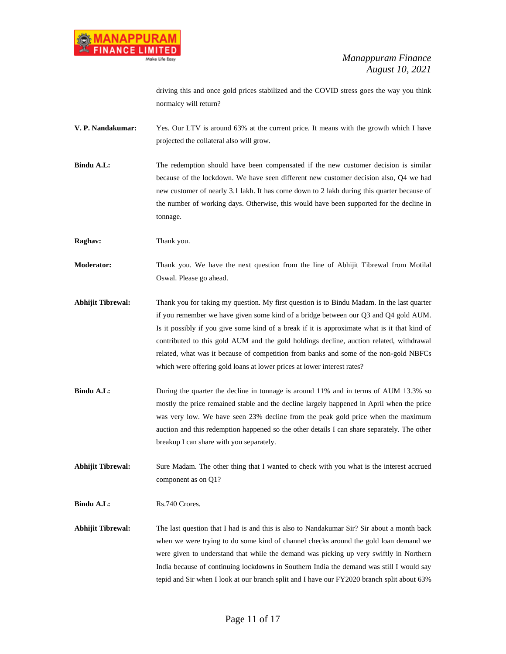driving this and once gold prices stabilized and the COVID stress goes the way you think normalcy will return?

**V. P. Nandakumar:** Yes. Our LTV is around 63% at the current price. It means with the growth which I have projected the collateral also will grow.

**Bindu A.L:** The redemption should have been compensated if the new customer decision is similar because of the lockdown. We have seen different new customer decision also, Q4 we had new customer of nearly 3.1 lakh. It has come down to 2 lakh during this quarter because of the number of working days. Otherwise, this would have been supported for the decline in tonnage.

**Raghav:** Thank you.

**Moderator:** Thank you. We have the next question from the line of Abhijit Tibrewal from Motilal Oswal. Please go ahead.

- **Abhijit Tibrewal:** Thank you for taking my question. My first question is to Bindu Madam. In the last quarter if you remember we have given some kind of a bridge between our Q3 and Q4 gold AUM. Is it possibly if you give some kind of a break if it is approximate what is it that kind of contributed to this gold AUM and the gold holdings decline, auction related, withdrawal related, what was it because of competition from banks and some of the non-gold NBFCs which were offering gold loans at lower prices at lower interest rates?
- **Bindu A.L:** During the quarter the decline in tonnage is around 11% and in terms of AUM 13.3% so mostly the price remained stable and the decline largely happened in April when the price was very low. We have seen 23% decline from the peak gold price when the maximum auction and this redemption happened so the other details I can share separately. The other breakup I can share with you separately.

**Abhijit Tibrewal:** Sure Madam. The other thing that I wanted to check with you what is the interest accrued component as on Q1?

**Bindu A.L:** Rs.740 Crores.

**Abhijit Tibrewal:** The last question that I had is and this is also to Nandakumar Sir? Sir about a month back when we were trying to do some kind of channel checks around the gold loan demand we were given to understand that while the demand was picking up very swiftly in Northern India because of continuing lockdowns in Southern India the demand was still I would say tepid and Sir when I look at our branch split and I have our FY2020 branch split about 63%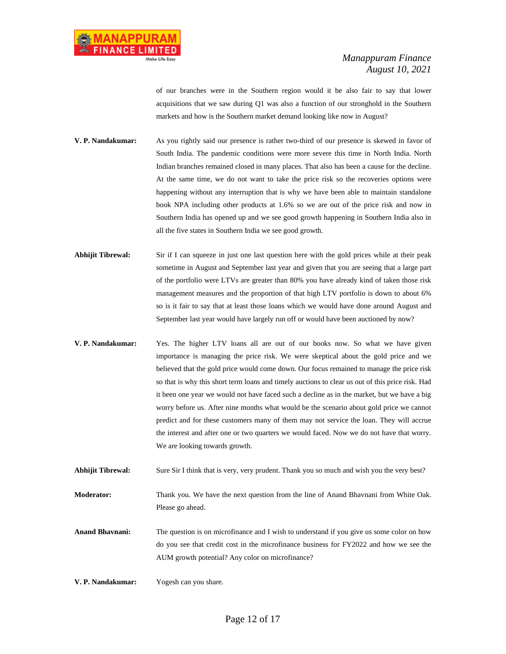of our branches were in the Southern region would it be also fair to say that lower acquisitions that we saw during Q1 was also a function of our stronghold in the Southern markets and how is the Southern market demand looking like now in August?

**V. P. Nandakumar:** As you rightly said our presence is rather two-third of our presence is skewed in favor of South India. The pandemic conditions were more severe this time in North India. North Indian branches remained closed in many places. That also has been a cause for the decline. At the same time, we do not want to take the price risk so the recoveries options were happening without any interruption that is why we have been able to maintain standalone book NPA including other products at 1.6% so we are out of the price risk and now in Southern India has opened up and we see good growth happening in Southern India also in all the five states in Southern India we see good growth.

- **Abhijit Tibrewal:** Sir if I can squeeze in just one last question here with the gold prices while at their peak sometime in August and September last year and given that you are seeing that a large part of the portfolio were LTVs are greater than 80% you have already kind of taken those risk management measures and the proportion of that high LTV portfolio is down to about 6% so is it fair to say that at least those loans which we would have done around August and September last year would have largely run off or would have been auctioned by now?
- **V. P. Nandakumar:** Yes. The higher LTV loans all are out of our books now. So what we have given importance is managing the price risk. We were skeptical about the gold price and we believed that the gold price would come down. Our focus remained to manage the price risk so that is why this short term loans and timely auctions to clear us out of this price risk. Had it been one year we would not have faced such a decline as in the market, but we have a big worry before us. After nine months what would be the scenario about gold price we cannot predict and for these customers many of them may not service the loan. They will accrue the interest and after one or two quarters we would faced. Now we do not have that worry. We are looking towards growth.

**Abhijit Tibrewal:** Sure Sir I think that is very, very prudent. Thank you so much and wish you the very best?

**Moderator:** Thank you. We have the next question from the line of Anand Bhavnani from White Oak. Please go ahead.

- **Anand Bhavnani:** The question is on microfinance and I wish to understand if you give us some color on how do you see that credit cost in the microfinance business for FY2022 and how we see the AUM growth potential? Any color on microfinance?
- **V. P. Nandakumar:** Yogesh can you share.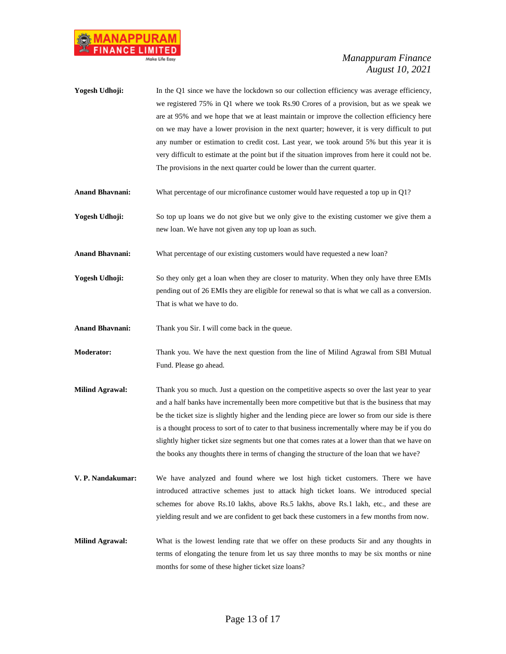

| Yogesh Udhoji: | In the Q1 since we have the lockdown so our collection efficiency was average efficiency,        |
|----------------|--------------------------------------------------------------------------------------------------|
|                | we registered 75% in Q1 where we took Rs.90 Crores of a provision, but as we speak we            |
|                | are at 95% and we hope that we at least maintain or improve the collection efficiency here       |
|                | on we may have a lower provision in the next quarter; however, it is very difficult to put       |
|                | any number or estimation to credit cost. Last year, we took around 5% but this year it is        |
|                | very difficult to estimate at the point but if the situation improves from here it could not be. |
|                | The provisions in the next quarter could be lower than the current quarter.                      |
|                |                                                                                                  |

- **Anand Bhavnani:** What percentage of our microfinance customer would have requested a top up in Q1?
- **Yogesh Udhoji:** So top up loans we do not give but we only give to the existing customer we give them a new loan. We have not given any top up loan as such.
- **Anand Bhavnani:** What percentage of our existing customers would have requested a new loan?
- **Yogesh Udhoji:** So they only get a loan when they are closer to maturity. When they only have three EMIs pending out of 26 EMIs they are eligible for renewal so that is what we call as a conversion. That is what we have to do.
- **Anand Bhavnani:** Thank you Sir. I will come back in the queue.
- **Moderator:** Thank you. We have the next question from the line of Milind Agrawal from SBI Mutual Fund. Please go ahead.
- **Milind Agrawal:** Thank you so much. Just a question on the competitive aspects so over the last year to year and a half banks have incrementally been more competitive but that is the business that may be the ticket size is slightly higher and the lending piece are lower so from our side is there is a thought process to sort of to cater to that business incrementally where may be if you do slightly higher ticket size segments but one that comes rates at a lower than that we have on the books any thoughts there in terms of changing the structure of the loan that we have?
- **V. P. Nandakumar:** We have analyzed and found where we lost high ticket customers. There we have introduced attractive schemes just to attack high ticket loans. We introduced special schemes for above Rs.10 lakhs, above Rs.5 lakhs, above Rs.1 lakh, etc., and these are yielding result and we are confident to get back these customers in a few months from now.
- **Milind Agrawal:** What is the lowest lending rate that we offer on these products Sir and any thoughts in terms of elongating the tenure from let us say three months to may be six months or nine months for some of these higher ticket size loans?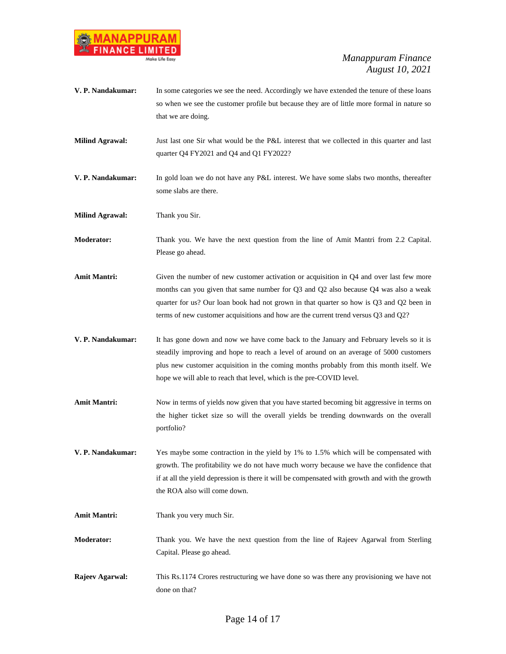

| V. P. Nandakumar:      | In some categories we see the need. Accordingly we have extended the tenure of these loans<br>so when we see the customer profile but because they are of little more formal in nature so<br>that we are doing.                                                                                                                                                   |
|------------------------|-------------------------------------------------------------------------------------------------------------------------------------------------------------------------------------------------------------------------------------------------------------------------------------------------------------------------------------------------------------------|
| <b>Milind Agrawal:</b> | Just last one Sir what would be the P&L interest that we collected in this quarter and last<br>quarter Q4 FY2021 and Q4 and Q1 FY2022?                                                                                                                                                                                                                            |
| V. P. Nandakumar:      | In gold loan we do not have any P&L interest. We have some slabs two months, thereafter<br>some slabs are there.                                                                                                                                                                                                                                                  |
| <b>Milind Agrawal:</b> | Thank you Sir.                                                                                                                                                                                                                                                                                                                                                    |
| <b>Moderator:</b>      | Thank you. We have the next question from the line of Amit Mantri from 2.2 Capital.<br>Please go ahead.                                                                                                                                                                                                                                                           |
| <b>Amit Mantri:</b>    | Given the number of new customer activation or acquisition in $Q4$ and over last few more<br>months can you given that same number for Q3 and Q2 also because Q4 was also a weak<br>quarter for us? Our loan book had not grown in that quarter so how is Q3 and Q2 been in<br>terms of new customer acquisitions and how are the current trend versus Q3 and Q2? |
| V. P. Nandakumar:      | It has gone down and now we have come back to the January and February levels so it is<br>steadily improving and hope to reach a level of around on an average of 5000 customers<br>plus new customer acquisition in the coming months probably from this month itself. We<br>hope we will able to reach that level, which is the pre-COVID level.                |
| <b>Amit Mantri:</b>    | Now in terms of yields now given that you have started becoming bit aggressive in terms on<br>the higher ticket size so will the overall yields be trending downwards on the overall<br>portfolio?                                                                                                                                                                |
| V. P. Nandakumar:      | Yes maybe some contraction in the yield by 1% to 1.5% which will be compensated with<br>growth. The profitability we do not have much worry because we have the confidence that<br>if at all the yield depression is there it will be compensated with growth and with the growth<br>the ROA also will come down.                                                 |
| <b>Amit Mantri:</b>    | Thank you very much Sir.                                                                                                                                                                                                                                                                                                                                          |
| <b>Moderator:</b>      | Thank you. We have the next question from the line of Rajeev Agarwal from Sterling<br>Capital. Please go ahead.                                                                                                                                                                                                                                                   |
| Rajeev Agarwal:        | This Rs.1174 Crores restructuring we have done so was there any provisioning we have not<br>done on that?                                                                                                                                                                                                                                                         |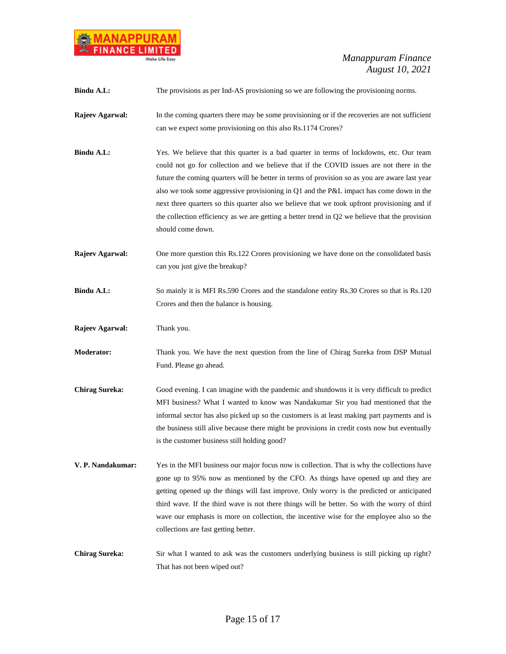

| Bindu A.L:            | The provisions as per Ind-AS provisioning so we are following the provisioning norms.                                                                                                                                                                                                                                                                                                                                                                                                                                                                                                                    |
|-----------------------|----------------------------------------------------------------------------------------------------------------------------------------------------------------------------------------------------------------------------------------------------------------------------------------------------------------------------------------------------------------------------------------------------------------------------------------------------------------------------------------------------------------------------------------------------------------------------------------------------------|
| Rajeev Agarwal:       | In the coming quarters there may be some provisioning or if the recoveries are not sufficient<br>can we expect some provisioning on this also Rs.1174 Crores?                                                                                                                                                                                                                                                                                                                                                                                                                                            |
| Bindu A.L:            | Yes. We believe that this quarter is a bad quarter in terms of lockdowns, etc. Our team<br>could not go for collection and we believe that if the COVID issues are not there in the<br>future the coming quarters will be better in terms of provision so as you are aware last year<br>also we took some aggressive provisioning in Q1 and the P&L impact has come down in the<br>next three quarters so this quarter also we believe that we took upfront provisioning and if<br>the collection efficiency as we are getting a better trend in $Q2$ we believe that the provision<br>should come down. |
| Rajeev Agarwal:       | One more question this Rs.122 Crores provisioning we have done on the consolidated basis<br>can you just give the breakup?                                                                                                                                                                                                                                                                                                                                                                                                                                                                               |
| <b>Bindu A.L:</b>     | So mainly it is MFI Rs.590 Crores and the standalone entity Rs.30 Crores so that is Rs.120<br>Crores and then the balance is housing.                                                                                                                                                                                                                                                                                                                                                                                                                                                                    |
| Rajeev Agarwal:       | Thank you.                                                                                                                                                                                                                                                                                                                                                                                                                                                                                                                                                                                               |
| <b>Moderator:</b>     | Thank you. We have the next question from the line of Chirag Sureka from DSP Mutual<br>Fund. Please go ahead.                                                                                                                                                                                                                                                                                                                                                                                                                                                                                            |
| <b>Chirag Sureka:</b> | Good evening. I can imagine with the pandemic and shutdowns it is very difficult to predict<br>MFI business? What I wanted to know was Nandakumar Sir you had mentioned that the<br>informal sector has also picked up so the customers is at least making part payments and is<br>the business still alive because there might be provisions in credit costs now but eventually<br>is the customer business still holding good?                                                                                                                                                                         |
| V. P. Nandakumar:     | Yes in the MFI business our major focus now is collection. That is why the collections have<br>gone up to 95% now as mentioned by the CFO. As things have opened up and they are<br>getting opened up the things will fast improve. Only worry is the predicted or anticipated<br>third wave. If the third wave is not there things will be better. So with the worry of third<br>wave our emphasis is more on collection, the incentive wise for the employee also so the<br>collections are fast getting better.                                                                                       |
| <b>Chirag Sureka:</b> | Sir what I wanted to ask was the customers underlying business is still picking up right?<br>That has not been wiped out?                                                                                                                                                                                                                                                                                                                                                                                                                                                                                |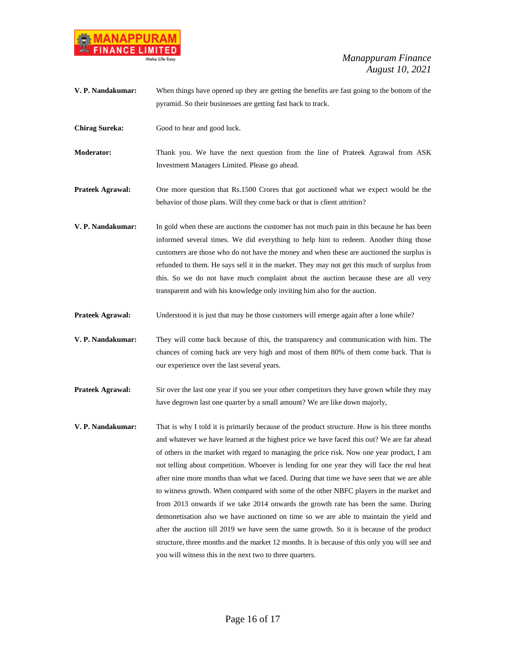

| V. P. Nandakumar:       | When things have opened up they are getting the benefits are fast going to the bottom of the<br>pyramid. So their businesses are getting fast back to track.                                                                                                                                                                                                                                                                                                                                                                                                                                                                                                                                                                                                                                                                                                                                                                                                                                                              |
|-------------------------|---------------------------------------------------------------------------------------------------------------------------------------------------------------------------------------------------------------------------------------------------------------------------------------------------------------------------------------------------------------------------------------------------------------------------------------------------------------------------------------------------------------------------------------------------------------------------------------------------------------------------------------------------------------------------------------------------------------------------------------------------------------------------------------------------------------------------------------------------------------------------------------------------------------------------------------------------------------------------------------------------------------------------|
| <b>Chirag Sureka:</b>   | Good to hear and good luck.                                                                                                                                                                                                                                                                                                                                                                                                                                                                                                                                                                                                                                                                                                                                                                                                                                                                                                                                                                                               |
| <b>Moderator:</b>       | Thank you. We have the next question from the line of Prateek Agrawal from ASK<br>Investment Managers Limited. Please go ahead.                                                                                                                                                                                                                                                                                                                                                                                                                                                                                                                                                                                                                                                                                                                                                                                                                                                                                           |
| <b>Prateek Agrawal:</b> | One more question that Rs.1500 Crores that got auctioned what we expect would be the<br>behavior of those plans. Will they come back or that is client attrition?                                                                                                                                                                                                                                                                                                                                                                                                                                                                                                                                                                                                                                                                                                                                                                                                                                                         |
| V. P. Nandakumar:       | In gold when these are auctions the customer has not much pain in this because he has been<br>informed several times. We did everything to help him to redeem. Another thing those<br>customers are those who do not have the money and when these are auctioned the surplus is<br>refunded to them. He says sell it in the market. They may not get this much of surplus from<br>this. So we do not have much complaint about the auction because these are all very<br>transparent and with his knowledge only inviting him also for the auction.                                                                                                                                                                                                                                                                                                                                                                                                                                                                       |
| <b>Prateek Agrawal:</b> | Understood it is just that may be those customers will emerge again after a lone while?                                                                                                                                                                                                                                                                                                                                                                                                                                                                                                                                                                                                                                                                                                                                                                                                                                                                                                                                   |
| V. P. Nandakumar:       | They will come back because of this, the transparency and communication with him. The<br>chances of coming back are very high and most of them 80% of them come back. That is<br>our experience over the last several years.                                                                                                                                                                                                                                                                                                                                                                                                                                                                                                                                                                                                                                                                                                                                                                                              |
| <b>Prateek Agrawal:</b> | Sir over the last one year if you see your other competitors they have grown while they may<br>have degrown last one quarter by a small amount? We are like down majorly,                                                                                                                                                                                                                                                                                                                                                                                                                                                                                                                                                                                                                                                                                                                                                                                                                                                 |
| V. P. Nandakumar:       | That is why I told it is primarily because of the product structure. How is his three months<br>and whatever we have learned at the highest price we have faced this out? We are far ahead<br>of others in the market with regard to managing the price risk. Now one year product, I am<br>not telling about competition. Whoever is lending for one year they will face the real heat<br>after nine more months than what we faced. During that time we have seen that we are able<br>to witness growth. When compared with some of the other NBFC players in the market and<br>from 2013 onwards if we take 2014 onwards the growth rate has been the same. During<br>demonetisation also we have auctioned on time so we are able to maintain the yield and<br>after the auction till 2019 we have seen the same growth. So it is because of the product<br>structure, three months and the market 12 months. It is because of this only you will see and<br>you will witness this in the next two to three quarters. |